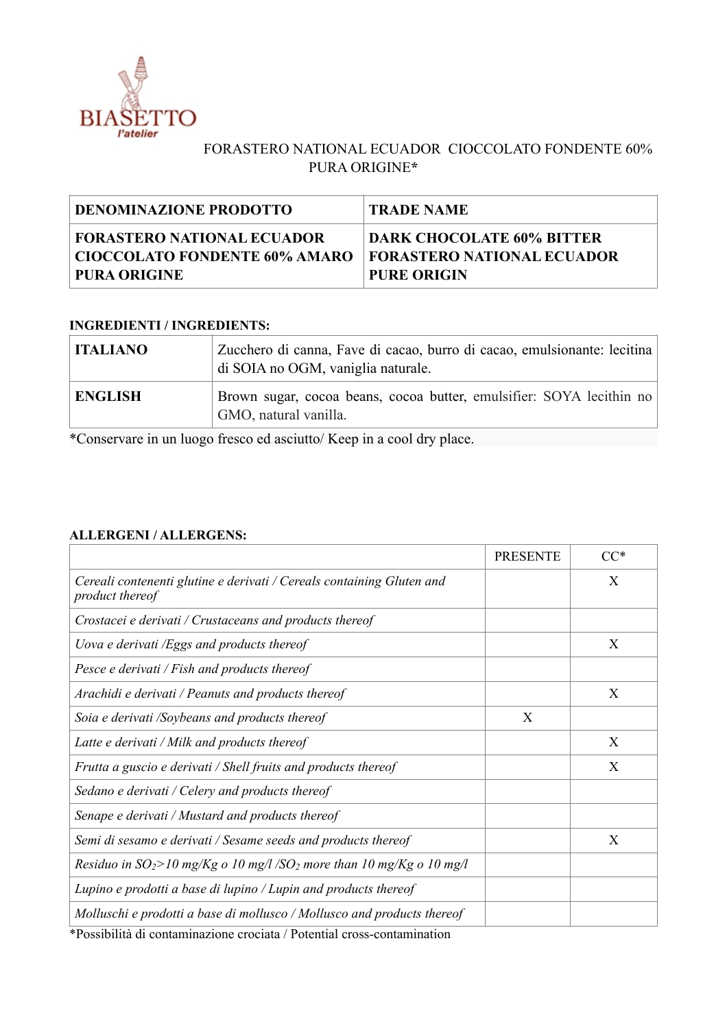

## FORASTERO NATIONAL ECUADOR CIOCCOLATO FONDENTE 60% PURA ORIGINE**\***

| <b>DENOMINAZIONE PRODOTTO</b> | <b>TRADE NAME</b>                 |
|-------------------------------|-----------------------------------|
| FORASTERO NATIONAL ECUADOR    | <b>DARK CHOCOLATE 60% BITTER</b>  |
| CIOCCOLATO FONDENTE 60% AMARO | <b>FORASTERO NATIONAL ECUADOR</b> |
| PURA ORIGINE                  | <b>PURE ORIGIN</b>                |

## **INGREDIENTI / INGREDIENTS:**

| <b>ITALIANO</b> | Zucchero di canna, Fave di cacao, burro di cacao, emulsionante: lecitina<br>di SOIA no OGM, vaniglia naturale. |  |
|-----------------|----------------------------------------------------------------------------------------------------------------|--|
| <b>ENGLISH</b>  | Brown sugar, cocoa beans, cocoa butter, emulsifier: SOYA lecithin no<br>GMO, natural vanilla.                  |  |

\*Conservare in un luogo fresco ed asciutto/ Keep in a cool dry place.

## **ALLERGENI / ALLERGENS:**

|                                                                                                                                                         | <b>PRESENTE</b> | $CC^*$ |
|---------------------------------------------------------------------------------------------------------------------------------------------------------|-----------------|--------|
| Cereali contenenti glutine e derivati / Cereals containing Gluten and<br>product thereof                                                                |                 | X      |
| Crostacei e derivati / Crustaceans and products thereof                                                                                                 |                 |        |
| Uova e derivati /Eggs and products thereof                                                                                                              |                 | X      |
| Pesce e derivati / Fish and products thereof                                                                                                            |                 |        |
| Arachidi e derivati / Peanuts and products thereof                                                                                                      |                 | X      |
| Soia e derivati /Soybeans and products thereof                                                                                                          | X               |        |
| Latte e derivati / Milk and products thereof                                                                                                            |                 | X      |
| Frutta a guscio e derivati / Shell fruits and products thereof                                                                                          |                 | X      |
| Sedano e derivati / Celery and products thereof                                                                                                         |                 |        |
| Senape e derivati / Mustard and products thereof                                                                                                        |                 |        |
| Semi di sesamo e derivati / Sesame seeds and products thereof                                                                                           |                 | X      |
| Residuo in $SO_2$ >10 mg/Kg o 10 mg/l /SO <sub>2</sub> more than 10 mg/Kg o 10 mg/l                                                                     |                 |        |
| Lupino e prodotti a base di lupino / Lupin and products thereof                                                                                         |                 |        |
| Molluschi e prodotti a base di mollusco / Mollusco and products thereof<br>$*DesselListA.$ di contenuinezione energieto (Detential energicantenziantica |                 |        |

\*Possibilità di contaminazione crociata / Potential cross-contamination